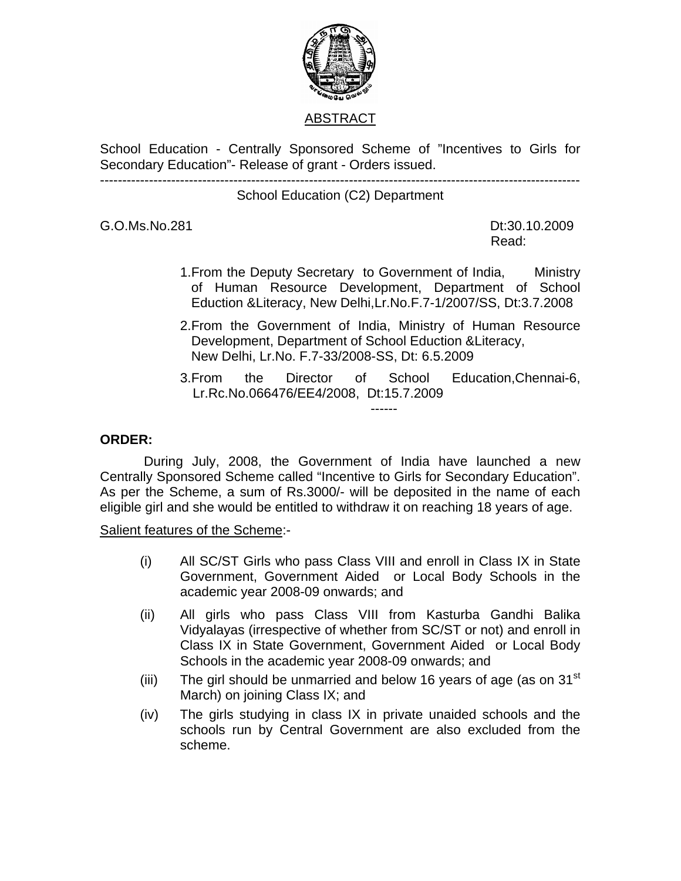

## ABSTRACT

School Education - Centrally Sponsored Scheme of "Incentives to Girls for Secondary Education"- Release of grant - Orders issued. ------------------------------------------------------------------------------------------------------------

School Education (C2) Department

G.O.Ms.No.281 Dt:30.10.2009

**Read:** The contract of the contract of the contract of the Read:

- 1.From the Deputy Secretary to Government of India, Ministry of Human Resource Development, Department of School Eduction &Literacy, New Delhi,Lr.No.F.7-1/2007/SS, Dt:3.7.2008
- 2.From the Government of India, Ministry of Human Resource Development, Department of School Eduction &Literacy, New Delhi, Lr.No. F.7-33/2008-SS, Dt: 6.5.2009
- 3.From the Director of School Education,Chennai-6, Lr.Rc.No.066476/EE4/2008, Dt:15.7.2009

## **ORDER:**

 During July, 2008, the Government of India have launched a new Centrally Sponsored Scheme called "Incentive to Girls for Secondary Education". As per the Scheme, a sum of Rs.3000/- will be deposited in the name of each eligible girl and she would be entitled to withdraw it on reaching 18 years of age.

Salient features of the Scheme:-

------

- (i) All SC/ST Girls who pass Class VIII and enroll in Class IX in State Government, Government Aided or Local Body Schools in the academic year 2008-09 onwards; and
- (ii) All girls who pass Class VIII from Kasturba Gandhi Balika Vidyalayas (irrespective of whether from SC/ST or not) and enroll in Class IX in State Government, Government Aided or Local Body Schools in the academic year 2008-09 onwards; and
- (iii) The girl should be unmarried and below 16 years of age (as on  $31<sup>st</sup>$ March) on joining Class IX; and
- (iv) The girls studying in class IX in private unaided schools and the schools run by Central Government are also excluded from the scheme.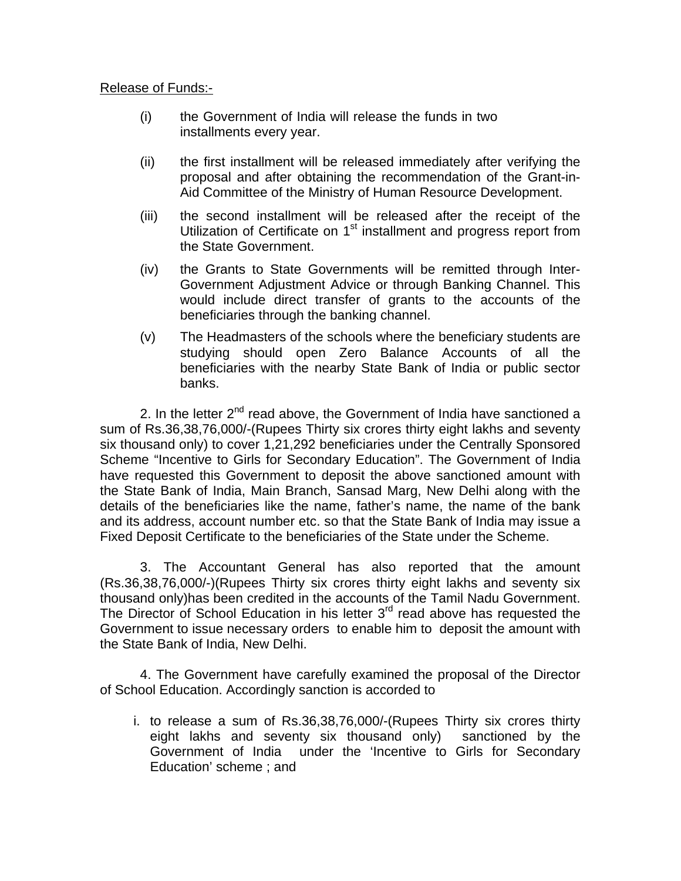## Release of Funds:-

- (i) the Government of India will release the funds in two installments every year.
- (ii) the first installment will be released immediately after verifying the proposal and after obtaining the recommendation of the Grant-in-Aid Committee of the Ministry of Human Resource Development.
- (iii) the second installment will be released after the receipt of the Utilization of Certificate on 1<sup>st</sup> installment and progress report from the State Government.
- (iv) the Grants to State Governments will be remitted through Inter-Government Adjustment Advice or through Banking Channel. This would include direct transfer of grants to the accounts of the beneficiaries through the banking channel.
- (v) The Headmasters of the schools where the beneficiary students are studying should open Zero Balance Accounts of all the beneficiaries with the nearby State Bank of India or public sector banks.

2. In the letter  $2^{nd}$  read above, the Government of India have sanctioned a sum of Rs.36,38,76,000/-(Rupees Thirty six crores thirty eight lakhs and seventy six thousand only) to cover 1,21,292 beneficiaries under the Centrally Sponsored Scheme "Incentive to Girls for Secondary Education". The Government of India have requested this Government to deposit the above sanctioned amount with the State Bank of India, Main Branch, Sansad Marg, New Delhi along with the details of the beneficiaries like the name, father's name, the name of the bank and its address, account number etc. so that the State Bank of India may issue a Fixed Deposit Certificate to the beneficiaries of the State under the Scheme.

3. The Accountant General has also reported that the amount (Rs.36,38,76,000/-)(Rupees Thirty six crores thirty eight lakhs and seventy six thousand only)has been credited in the accounts of the Tamil Nadu Government. The Director of School Education in his letter  $3<sup>rd</sup>$  read above has requested the Government to issue necessary orders to enable him to deposit the amount with the State Bank of India, New Delhi.

 4. The Government have carefully examined the proposal of the Director of School Education. Accordingly sanction is accorded to

i. to release a sum of Rs.36,38,76,000/-(Rupees Thirty six crores thirty eight lakhs and seventy six thousand only) sanctioned by the Government of India under the 'Incentive to Girls for Secondary Education' scheme ; and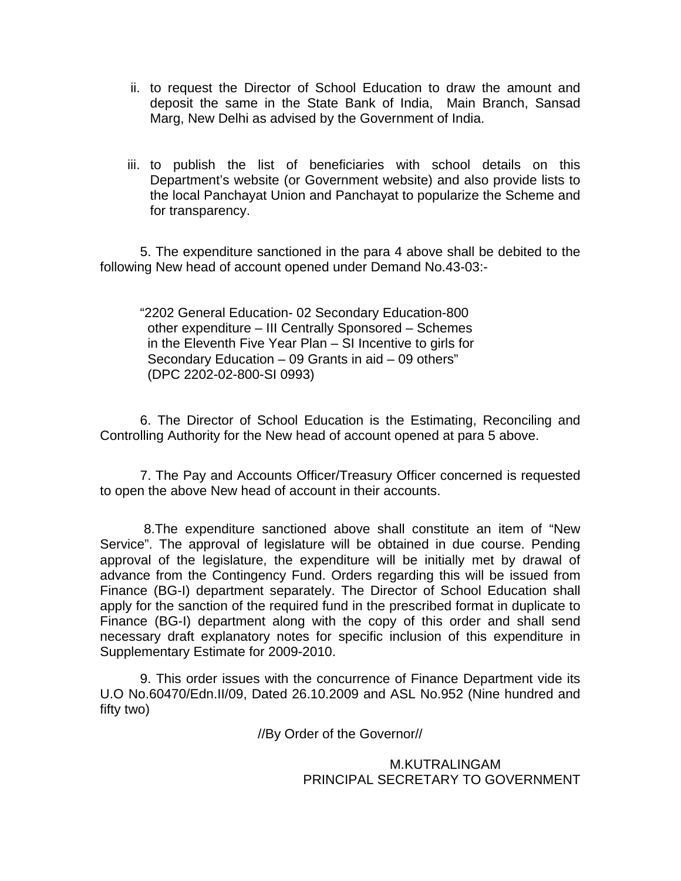- ii. to request the Director of School Education to draw the amount and deposit the same in the State Bank of India, Main Branch, Sansad Marg, New Delhi as advised by the Government of India.
- iii. to publish the list of beneficiaries with school details on this Department's website (or Government website) and also provide lists to the local Panchayat Union and Panchayat to popularize the Scheme and for transparency.

5. The expenditure sanctioned in the para 4 above shall be debited to the following New head of account opened under Demand No.43-03:-

"2202 General Education- 02 Secondary Education-800 other expenditure – III Centrally Sponsored – Schemes in the Eleventh Five Year Plan – SI Incentive to girls for Secondary Education – 09 Grants in aid – 09 others" (DPC 2202-02-800-SI 0993)

6. The Director of School Education is the Estimating, Reconciling and Controlling Authority for the New head of account opened at para 5 above.

7. The Pay and Accounts Officer/Treasury Officer concerned is requested to open the above New head of account in their accounts.

 8.The expenditure sanctioned above shall constitute an item of "New Service". The approval of legislature will be obtained in due course. Pending approval of the legislature, the expenditure will be initially met by drawal of advance from the Contingency Fund. Orders regarding this will be issued from Finance (BG-I) department separately. The Director of School Education shall apply for the sanction of the required fund in the prescribed format in duplicate to Finance (BG-I) department along with the copy of this order and shall send necessary draft explanatory notes for specific inclusion of this expenditure in Supplementary Estimate for 2009-2010.

9. This order issues with the concurrence of Finance Department vide its U.O No.60470/Edn.II/09, Dated 26.10.2009 and ASL No.952 (Nine hundred and fifty two)

//By Order of the Governor//

 M.KUTRALINGAM PRINCIPAL SECRETARY TO GOVERNMENT